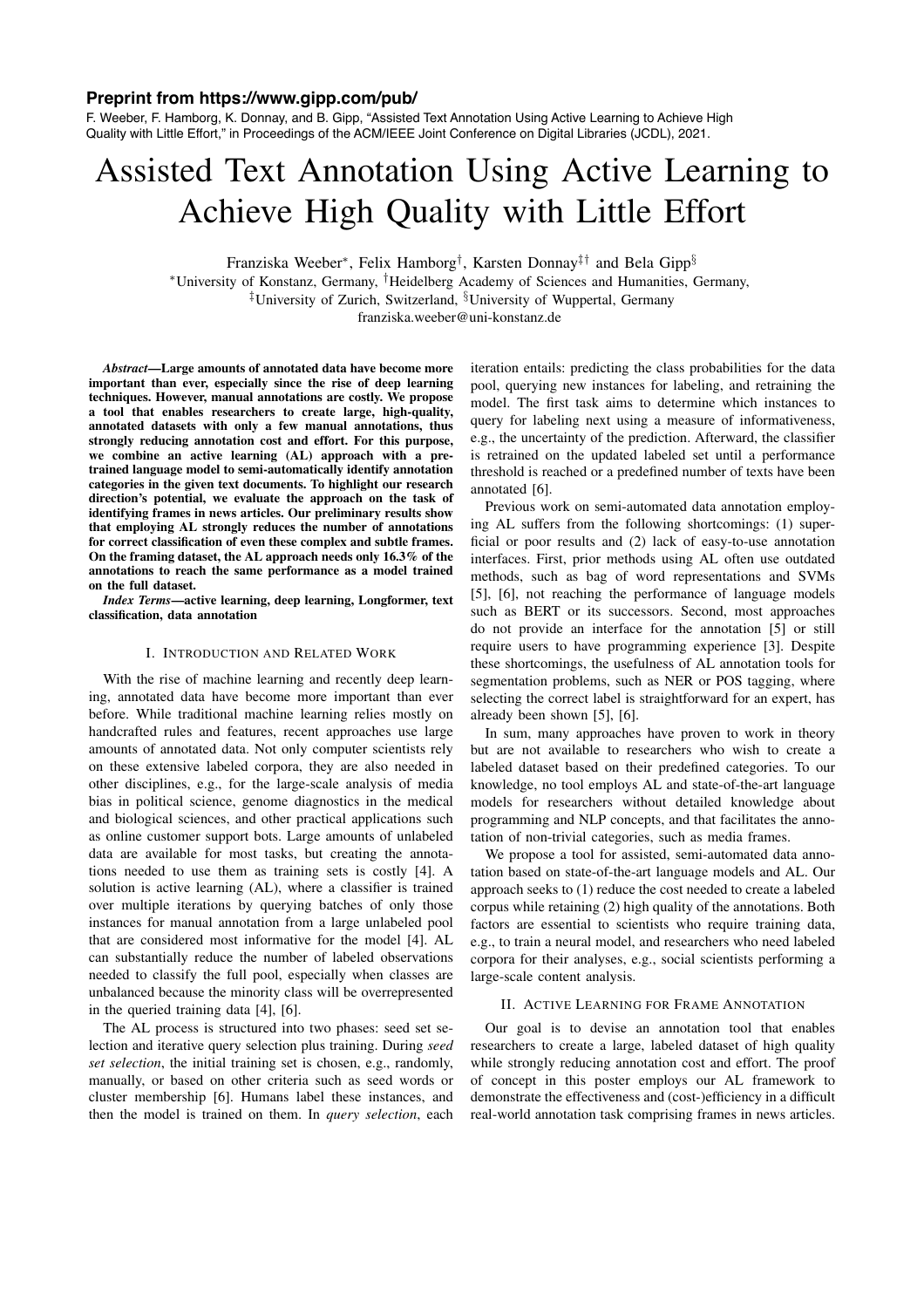## **Preprint from https://www.gipp.com/pub/**

F. Weeber, F. Hamborg, K. Donnay, and B. Gipp, "Assisted Text Annotation Using Active Learning to Achieve High Quality with Little Effort," in Proceedings of the ACM/IEEE Joint Conference on Digital Libraries (JCDL), 2021.

# Assisted Text Annotation Using Active Learning to Achieve High Quality with Little Effort

Franziska Weeber⇤, Felix Hamborg*†*, Karsten Donnay*‡†* and Bela Gipp*§*

⇤University of Konstanz, Germany, *†*Heidelberg Academy of Sciences and Humanities, Germany,

*‡*University of Zurich, Switzerland, *§*University of Wuppertal, Germany

franziska.weeber@uni-konstanz.de

*Abstract*—Large amounts of annotated data have become more important than ever, especially since the rise of deep learning techniques. However, manual annotations are costly. We propose a tool that enables researchers to create large, high-quality, annotated datasets with only a few manual annotations, thus strongly reducing annotation cost and effort. For this purpose, we combine an active learning (AL) approach with a pretrained language model to semi-automatically identify annotation categories in the given text documents. To highlight our research direction's potential, we evaluate the approach on the task of identifying frames in news articles. Our preliminary results show that employing AL strongly reduces the number of annotations for correct classification of even these complex and subtle frames. On the framing dataset, the AL approach needs only 16.3% of the annotations to reach the same performance as a model trained on the full dataset.

*Index Terms*—active learning, deep learning, Longformer, text classification, data annotation

## I. INTRODUCTION AND RELATED WORK

With the rise of machine learning and recently deep learning, annotated data have become more important than ever before. While traditional machine learning relies mostly on handcrafted rules and features, recent approaches use large amounts of annotated data. Not only computer scientists rely on these extensive labeled corpora, they are also needed in other disciplines, e.g., for the large-scale analysis of media bias in political science, genome diagnostics in the medical and biological sciences, and other practical applications such as online customer support bots. Large amounts of unlabeled data are available for most tasks, but creating the annotations needed to use them as training sets is costly [4]. A solution is active learning (AL), where a classifier is trained over multiple iterations by querying batches of only those instances for manual annotation from a large unlabeled pool that are considered most informative for the model [4]. AL can substantially reduce the number of labeled observations needed to classify the full pool, especially when classes are unbalanced because the minority class will be overrepresented in the queried training data [4], [6].

The AL process is structured into two phases: seed set selection and iterative query selection plus training. During *seed set selection*, the initial training set is chosen, e.g., randomly, manually, or based on other criteria such as seed words or cluster membership [6]. Humans label these instances, and then the model is trained on them. In *query selection*, each iteration entails: predicting the class probabilities for the data pool, querying new instances for labeling, and retraining the model. The first task aims to determine which instances to query for labeling next using a measure of informativeness, e.g., the uncertainty of the prediction. Afterward, the classifier is retrained on the updated labeled set until a performance threshold is reached or a predefined number of texts have been annotated [6].

Previous work on semi-automated data annotation employing AL suffers from the following shortcomings: (1) superficial or poor results and (2) lack of easy-to-use annotation interfaces. First, prior methods using AL often use outdated methods, such as bag of word representations and SVMs [5], [6], not reaching the performance of language models such as BERT or its successors. Second, most approaches do not provide an interface for the annotation [5] or still require users to have programming experience [3]. Despite these shortcomings, the usefulness of AL annotation tools for segmentation problems, such as NER or POS tagging, where selecting the correct label is straightforward for an expert, has already been shown [5], [6].

In sum, many approaches have proven to work in theory but are not available to researchers who wish to create a labeled dataset based on their predefined categories. To our knowledge, no tool employs AL and state-of-the-art language models for researchers without detailed knowledge about programming and NLP concepts, and that facilitates the annotation of non-trivial categories, such as media frames.

We propose a tool for assisted, semi-automated data annotation based on state-of-the-art language models and AL. Our approach seeks to (1) reduce the cost needed to create a labeled corpus while retaining (2) high quality of the annotations. Both factors are essential to scientists who require training data, e.g., to train a neural model, and researchers who need labeled corpora for their analyses, e.g., social scientists performing a large-scale content analysis.

#### II. ACTIVE LEARNING FOR FRAME ANNOTATION

Our goal is to devise an annotation tool that enables researchers to create a large, labeled dataset of high quality while strongly reducing annotation cost and effort. The proof of concept in this poster employs our AL framework to demonstrate the effectiveness and (cost-)efficiency in a difficult real-world annotation task comprising frames in news articles.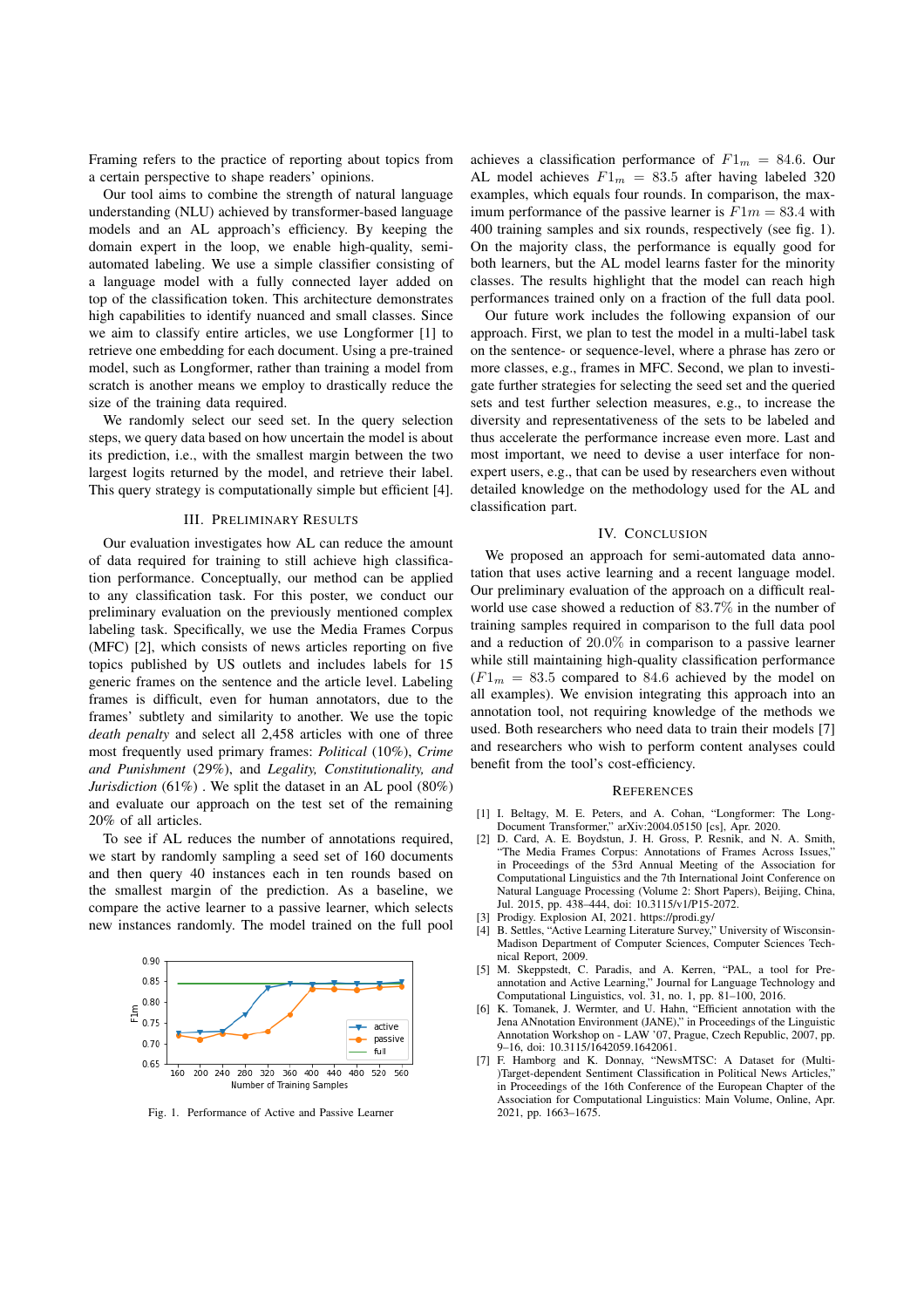Framing refers to the practice of reporting about topics from a certain perspective to shape readers' opinions.

Our tool aims to combine the strength of natural language understanding (NLU) achieved by transformer-based language models and an AL approach's efficiency. By keeping the domain expert in the loop, we enable high-quality, semiautomated labeling. We use a simple classifier consisting of a language model with a fully connected layer added on top of the classification token. This architecture demonstrates high capabilities to identify nuanced and small classes. Since we aim to classify entire articles, we use Longformer [1] to retrieve one embedding for each document. Using a pre-trained model, such as Longformer, rather than training a model from scratch is another means we employ to drastically reduce the size of the training data required.

We randomly select our seed set. In the query selection steps, we query data based on how uncertain the model is about its prediction, i.e., with the smallest margin between the two largest logits returned by the model, and retrieve their label. This query strategy is computationally simple but efficient [4].

## III. PRELIMINARY RESULTS

Our evaluation investigates how AL can reduce the amount of data required for training to still achieve high classification performance. Conceptually, our method can be applied to any classification task. For this poster, we conduct our preliminary evaluation on the previously mentioned complex labeling task. Specifically, we use the Media Frames Corpus (MFC) [2], which consists of news articles reporting on five topics published by US outlets and includes labels for 15 generic frames on the sentence and the article level. Labeling frames is difficult, even for human annotators, due to the frames' subtlety and similarity to another. We use the topic *death penalty* and select all 2,458 articles with one of three most frequently used primary frames: *Political* (10%), *Crime and Punishment* (29%), and *Legality, Constitutionality, and Jurisdiction* (61%) . We split the dataset in an AL pool (80%) and evaluate our approach on the test set of the remaining 20% of all articles.

To see if AL reduces the number of annotations required, we start by randomly sampling a seed set of 160 documents and then query 40 instances each in ten rounds based on the smallest margin of the prediction. As a baseline, we compare the active learner to a passive learner, which selects new instances randomly. The model trained on the full pool



Fig. 1. Performance of Active and Passive Learner

achieves a classification performance of  $F1_m = 84.6$ . Our AL model achieves  $F1_m = 83.5$  after having labeled 320 examples, which equals four rounds. In comparison, the maximum performance of the passive learner is  $F1m = 83.4$  with 400 training samples and six rounds, respectively (see fig. 1). On the majority class, the performance is equally good for both learners, but the AL model learns faster for the minority classes. The results highlight that the model can reach high performances trained only on a fraction of the full data pool.

Our future work includes the following expansion of our approach. First, we plan to test the model in a multi-label task on the sentence- or sequence-level, where a phrase has zero or more classes, e.g., frames in MFC. Second, we plan to investigate further strategies for selecting the seed set and the queried sets and test further selection measures, e.g., to increase the diversity and representativeness of the sets to be labeled and thus accelerate the performance increase even more. Last and most important, we need to devise a user interface for nonexpert users, e.g., that can be used by researchers even without detailed knowledge on the methodology used for the AL and classification part.

### IV. CONCLUSION

We proposed an approach for semi-automated data annotation that uses active learning and a recent language model. Our preliminary evaluation of the approach on a difficult realworld use case showed a reduction of 83*.*7% in the number of training samples required in comparison to the full data pool and a reduction of 20*.*0% in comparison to a passive learner while still maintaining high-quality classification performance  $(F1_m = 83.5$  compared to 84.6 achieved by the model on all examples). We envision integrating this approach into an annotation tool, not requiring knowledge of the methods we used. Both researchers who need data to train their models [7] and researchers who wish to perform content analyses could benefit from the tool's cost-efficiency.

#### **REFERENCES**

- [1] I. Beltagy, M. E. Peters, and A. Cohan, "Longformer: The Long-Document Transformer," arXiv:2004.05150 [cs], Apr. 2020.
- [2] D. Card, A. E. Boydstun, J. H. Gross, P. Resnik, and N. A. Smith, "The Media Frames Corpus: Annotations of Frames Across Issues," in Proceedings of the 53rd Annual Meeting of the Association for Computational Linguistics and the 7th International Joint Conference on Natural Language Processing (Volume 2: Short Papers), Beijing, China, Jul. 2015, pp. 438–444, doi: 10.3115/v1/P15-2072.
- [3] Prodigy. Explosion AI, 2021. https://prodi.gy/
- [4] B. Settles, "Active Learning Literature Survey," University of Wisconsin-Madison Department of Computer Sciences, Computer Sciences Technical Report, 2009.
- [5] M. Skeppstedt, C. Paradis, and A. Kerren, "PAL, a tool for Preannotation and Active Learning," Journal for Language Technology and Computational Linguistics, vol. 31, no. 1, pp. 81–100, 2016.
- [6] K. Tomanek, J. Wermter, and U. Hahn, "Efficient annotation with the Jena ANnotation Environment (JANE)," in Proceedings of the Linguistic Annotation Workshop on - LAW '07, Prague, Czech Republic, 2007, pp. 9–16, doi: 10.3115/1642059.1642061.
- [7] F. Hamborg and K. Donnay, "NewsMTSC: A Dataset for (Multi- )Target-dependent Sentiment Classification in Political News Articles," in Proceedings of the 16th Conference of the European Chapter of the Association for Computational Linguistics: Main Volume, Online, Apr. 2021, pp. 1663–1675.